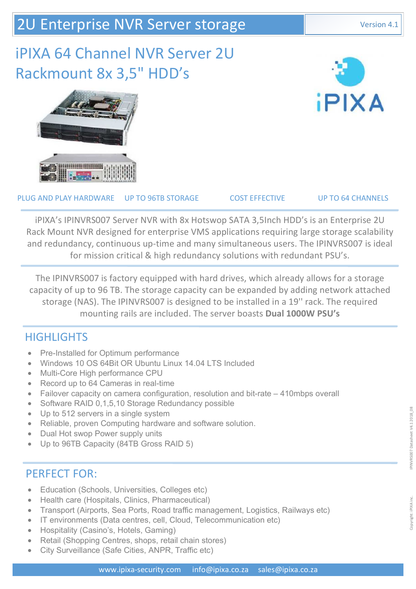# iPIXA 64 Channel NVR Server 2U Rackmount 8x 3,5" HDD's





PLUG AND PLAY HARDWARE UP TO 96TB STORAGE COST EFFECTIVE UP TO 64 CHANNELS

iPIXA's IPINVRS007 Server NVR with 8x Hotswop SATA 3,5Inch HDD's is an Enterprise 2U Rack Mount NVR designed for enterprise VMS applications requiring large storage scalability and redundancy, continuous up-time and many simultaneous users. The IPINVRS007 is ideal for mission critical & high redundancy solutions with redundant PSU's.

The IPINVRS007 is factory equipped with hard drives, which already allows for a storage capacity of up to 96 TB. The storage capacity can be expanded by adding network attached storage (NAS). The IPINVRS007 is designed to be installed in a 19'' rack. The required mounting rails are included. The server boasts **Dual 1000W PSU's**

### **HIGHLIGHTS**

- Pre-Installed for Optimum performance
- Windows 10 OS 64Bit OR Ubuntu Linux 14.04 LTS Included
- Multi-Core High performance CPU
- Record up to 64 Cameras in real-time
- Failover capacity on camera configuration, resolution and bit-rate 410mbps overall
- Software RAID 0,1,5,10 Storage Redundancy possible
- Up to 512 servers in a single system
- Reliable, proven Computing hardware and software solution.
- Dual Hot swop Power supply units
- Up to 96TB Capacity (84TB Gross RAID 5)

### PERFECT FOR:

- Education (Schools, Universities, Colleges etc)
- Health care (Hospitals, Clinics, Pharmaceutical)
- Transport (Airports, Sea Ports, Road traffic management, Logistics, Railways etc)
- IT environments (Data centres, cell, Cloud, Telecommunication etc)
- Hospitality (Casino's, Hotels, Gaming)
- Retail (Shopping Centres, shops, retail chain stores)
- City Surveillance (Safe Cities, ANPR, Traffic etc)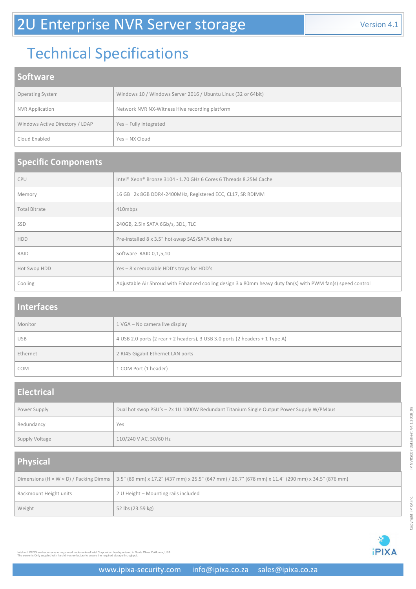# Technical Specifications

### **Software**

| <b>Operating System</b>         | Windows 10 / Windows Server 2016 / Ubuntu Linux (32 or 64bit) |
|---------------------------------|---------------------------------------------------------------|
| <b>NVR Application</b>          | Network NVR NX-Witness Hive recording platform                |
| Windows Active Directory / LDAP | Yes - Fully integrated                                        |
| Cloud Enabled                   | Yes – NX Cloud                                                |

#### **Specific Components**

| <b>CPU</b>           | Intel® Xeon® Bronze 3104 - 1.70 GHz 6 Cores 6 Threads 8.25M Cache                                           |
|----------------------|-------------------------------------------------------------------------------------------------------------|
| Memory               | 16 GB 2x 8GB DDR4-2400MHz, Registered ECC, CL17, SR RDIMM                                                   |
| <b>Total Bitrate</b> | 410mbps                                                                                                     |
| <b>SSD</b>           | 240GB, 2.5in SATA 6Gb/s, 3D1, TLC                                                                           |
| <b>HDD</b>           | Pre-installed 8 x 3.5" hot-swap SAS/SATA drive bay                                                          |
| RAID                 | Software RAID 0,1,5,10                                                                                      |
| Hot Swop HDD         | Yes - 8 x removable HDD's trays for HDD's                                                                   |
| Cooling              | Adjustable Air Shroud with Enhanced cooling design 3 x 80mm heavy duty fan(s) with PWM fan(s) speed control |

#### **Interfaces**

| Monitor    | 1 VGA - No camera live display                                               |
|------------|------------------------------------------------------------------------------|
| <b>USB</b> | 4 USB 2.0 ports (2 rear + 2 headers), 3 USB 3.0 ports (2 headers + 1 Type A) |
| Ethernet   | 2 RJ45 Gigabit Ethernet LAN ports                                            |
| <b>COM</b> | 1 COM Port (1 header)                                                        |

#### **Electrical**

| Power Supply   | Dual hot swop PSU's - 2x 1U 1000W Redundant Titanium Single Output Power Supply W/PMbus |
|----------------|-----------------------------------------------------------------------------------------|
| Redundancy     | Yes                                                                                     |
| Supply Voltage | 110/240 V AC, 50/60 Hz                                                                  |

## **Physical**

|                        | Dimensions (H x W x D) / Packing Dimms   3.5" (89 mm) x 17.2" (437 mm) x 25.5" (647 mm) / 26.7" (678 mm) x 11.4" (290 mm) x 34.5" (876 mm) |
|------------------------|--------------------------------------------------------------------------------------------------------------------------------------------|
| Rackmount Height units | 2 U Height - Mounting rails included                                                                                                       |
| Weight                 | 52 lbs (23.59 kg)                                                                                                                          |



Intel and XEON are trademarks or registered trademarks of Intel Corporation headquartered in Santa Clara, California, USA<br>The server is Only supplied with hard drives ex-factory to ensure the required storage throughput.